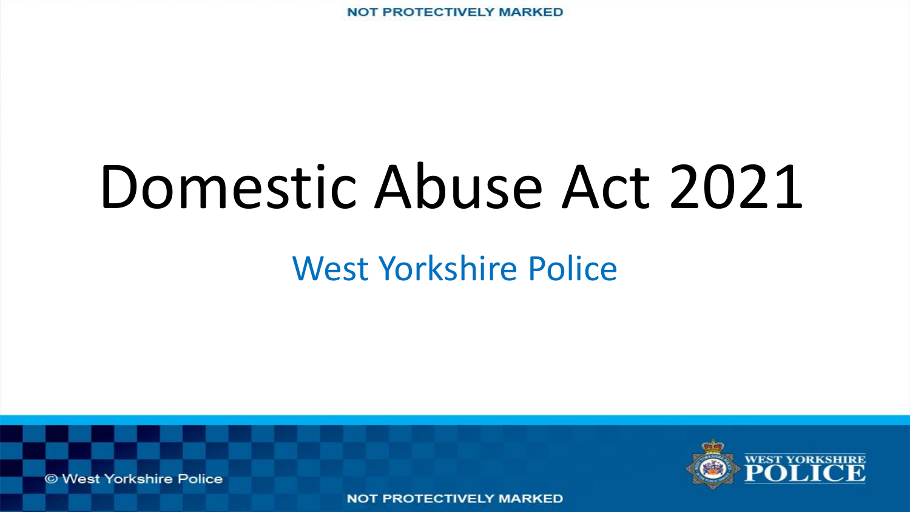# Domestic Abuse Act 2021

#### West Yorkshire Police

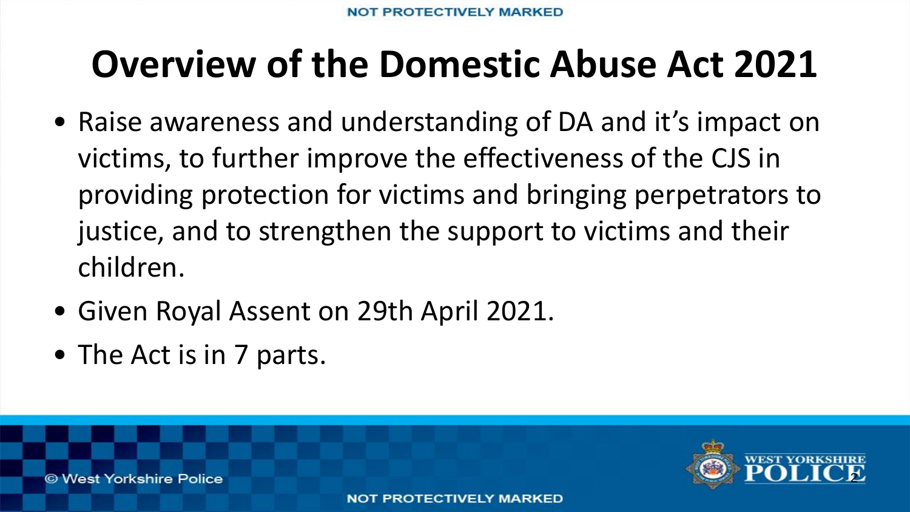#### **Overview of the Domestic Abuse Act 2021**

- Raise awareness and understanding of DA and it's impact on victims, to further improve the effectiveness of the CJS in providing protection for victims and bringing perpetrators to justice, and to strengthen the support to victims and their children.
- Given Royal Assent on 29th April 2021.
- The Act is in 7 parts.

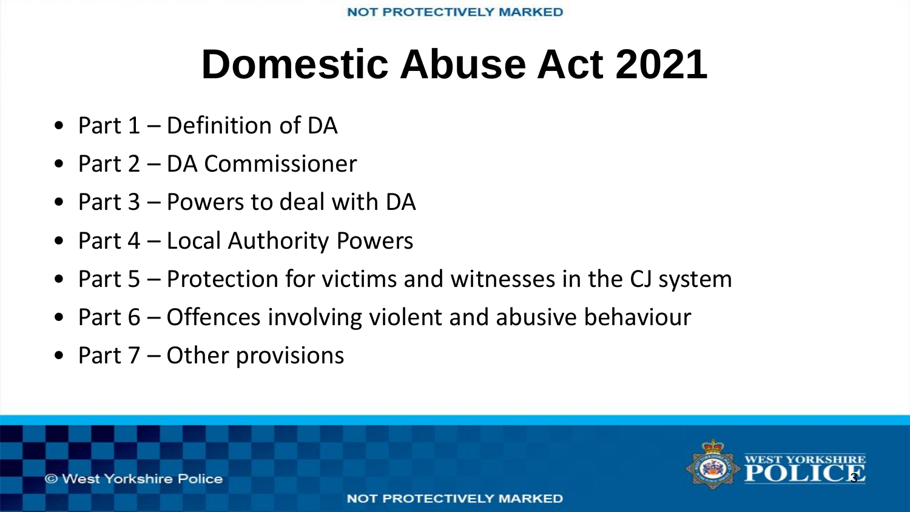# **Domestic Abuse Act 2021**

- Part 1 Definition of DA
- Part 2 DA Commissioner
- Part 3 Powers to deal with DA
- Part 4 Local Authority Powers
- Part 5 Protection for victims and witnesses in the CJ system
- Part 6 Offences involving violent and abusive behaviour
- Part 7 Other provisions

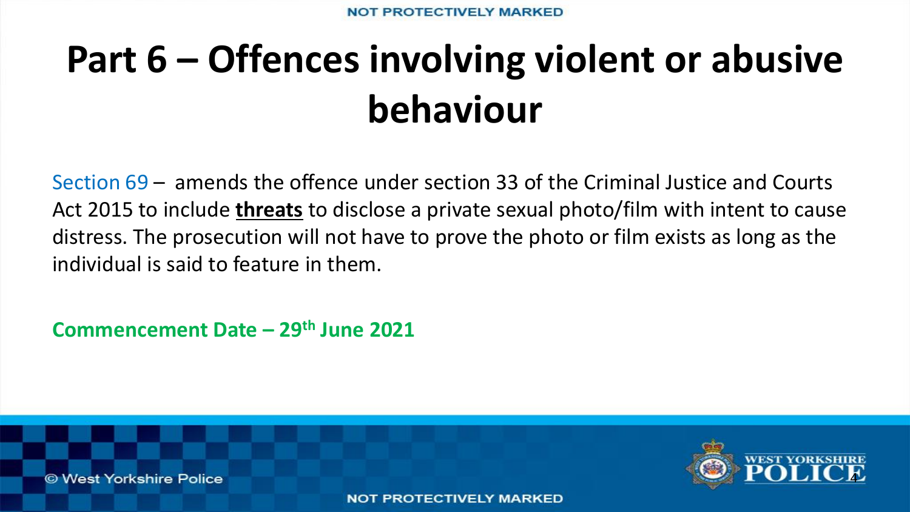# **Part 6 – Offences involving violent or abusive behaviour**

Section 69 – amends the offence under section 33 of the Criminal Justice and Courts Act 2015 to include **threats** to disclose a private sexual photo/film with intent to cause distress. The prosecution will not have to prove the photo or film exists as long as the individual is said to feature in them.

**Commencement Date – 29th June 2021** 



© West Yorkshire Police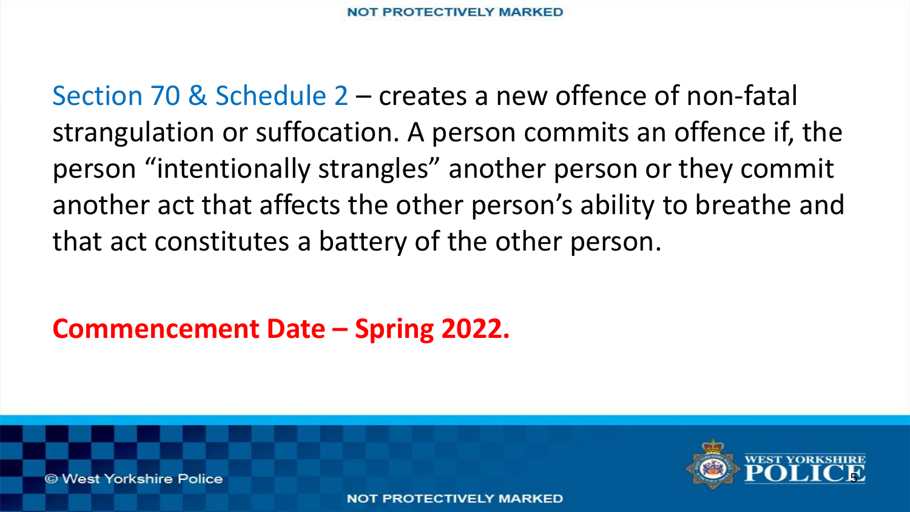Section 70 & Schedule 2 – creates a new offence of non-fatal strangulation or suffocation. A person commits an offence if, the person "intentionally strangles" another person or they commit another act that affects the other person's ability to breathe and that act constitutes a battery of the other person.

**Commencement Date – Spring 2022.**

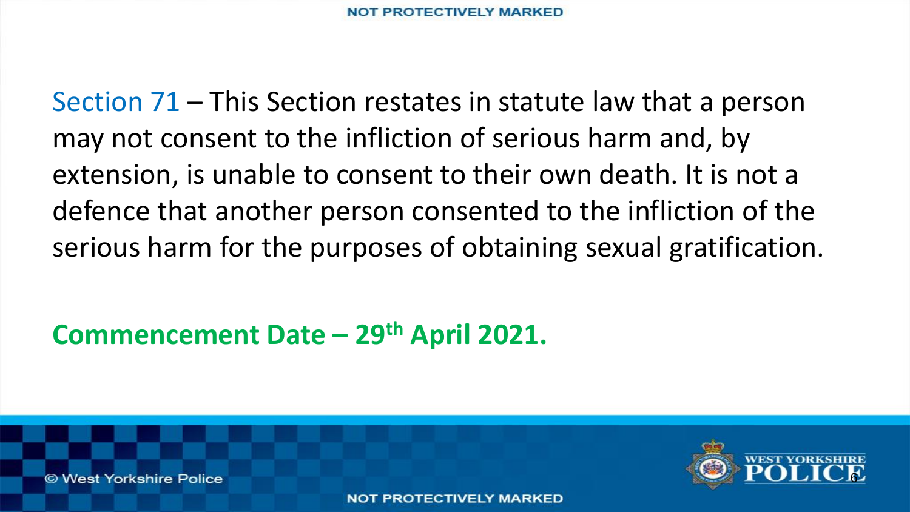Section 71 – This Section restates in statute law that a person may not consent to the infliction of serious harm and, by extension, is unable to consent to their own death. It is not a defence that another person consented to the infliction of the serious harm for the purposes of obtaining sexual gratification.

**Commencement Date – 29th April 2021.**